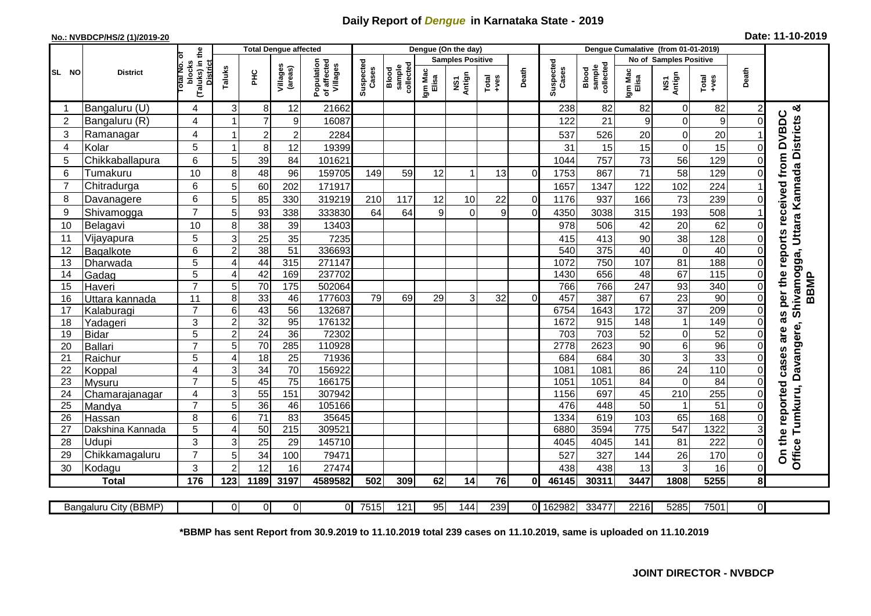## **Daily Report of** *Dengue* **in Karnataka State - 2019**

## **No.: NVBDCP/HS/2 (1)/2019-20 Date: 11-10-2019**

|                |                           |                                                             |                     |                       | Dengue (On the day) |                                       |                         |                              |                  |               |                  |                |                    |                              |                         |                   |                                                              |                             |                                                                                    |
|----------------|---------------------------|-------------------------------------------------------------|---------------------|-----------------------|---------------------|---------------------------------------|-------------------------|------------------------------|------------------|---------------|------------------|----------------|--------------------|------------------------------|-------------------------|-------------------|--------------------------------------------------------------|-----------------------------|------------------------------------------------------------------------------------|
|                |                           |                                                             |                     |                       |                     |                                       | <b>Samples Positive</b> |                              |                  |               |                  |                |                    |                              |                         |                   |                                                              |                             |                                                                                    |
| SL NO          | <b>District</b>           | (Taluks) in the<br>Total No. 0<br>blocks<br><b>District</b> | Taluks              | ЭHС                   | Villages<br>(areas) | Population<br>of affected<br>Villages | Suspected<br>Cases      | sample<br>collected<br>Blood | Igm Mac<br>Elisa | NS1<br>Antign | $Tota$<br>$+ves$ | Death          | Suspected<br>Cases | collected<br>Blood<br>sample | Igm Mac<br>Elisa        | NS1<br>Antign     | $\begin{array}{c}\n\text{Total} \\ \text{Area}\n\end{array}$ | Death                       |                                                                                    |
| -1             | Bangaluru (U)             | 4                                                           | 3                   | 8                     | 12                  | 21662                                 |                         |                              |                  |               |                  |                | 238                | 82                           | 82                      | $\pmb{0}$         | 82                                                           | $\overline{c}$              | య                                                                                  |
| $\overline{2}$ | Bangaluru (R)             | 4                                                           |                     | $\overline{7}$        | 9                   | 16087                                 |                         |                              |                  |               |                  |                | 122                | 21                           | 9                       | $\mathbf 0$       | 9                                                            | $\mathbf 0$                 |                                                                                    |
| 3              | Ramanagar                 | 4                                                           |                     | $\overline{c}$        | $\overline{c}$      | 2284                                  |                         |                              |                  |               |                  |                | 537                | 526                          | 20                      | 0                 | 20                                                           |                             | per the reports received from DVBDC                                                |
| 4              | Kolar                     | 5                                                           |                     | 8                     | 12                  | 19399                                 |                         |                              |                  |               |                  |                | 31                 | 15                           | 15                      | $\mathbf 0$       | 15                                                           | $\mathsf{O}\xspace$         |                                                                                    |
| 5              | Chikkaballapura           | 6                                                           | 5                   | 39                    | 84                  | 101621                                |                         |                              |                  |               |                  |                | 1044               | 757                          | 73                      | 56                | 129                                                          | $\mathbf 0$                 |                                                                                    |
| 6              | Tumakuru                  | 10                                                          | 8                   | 48                    | 96                  | 159705                                | 149                     | 59                           | 12               |               | 13               | 0              | 1753               | 867                          | 71                      | 58                | 129                                                          | 0                           |                                                                                    |
| $\overline{7}$ | Chitradurga               | 6                                                           | 5                   | 60                    | 202                 | 171917                                |                         |                              |                  |               |                  |                | 1657               | 1347                         | 122                     | 102               | 224                                                          |                             |                                                                                    |
| 8              | Davanagere                | 6                                                           | 5                   | 85                    | 330                 | 319219                                | 210                     | 117                          | 12               | 10            | 22               | $\overline{0}$ | 1176               | 937                          | 166                     | 73                | 239                                                          | $\mathbf 0$                 |                                                                                    |
| 9              | Shivamogga                | $\overline{7}$                                              | 5                   | 93                    | 338                 | 333830                                | 64                      | 64                           | 9                | $\mathbf 0$   | 9                | $\overline{0}$ | 4350               | 3038                         | 315                     | 193               | 508                                                          |                             |                                                                                    |
| 10             | Belagavi                  | 10                                                          | 8                   | 38                    | 39                  | 13403                                 |                         |                              |                  |               |                  |                | 978                | 506                          | 42                      | 20                | 62                                                           | $\mathbf 0$                 |                                                                                    |
| 11             | Vijayapura                | 5                                                           | 3                   | 25                    | 35                  | 7235                                  |                         |                              |                  |               |                  |                | 415                | 413                          | 90                      | $\overline{38}$   | 128                                                          | 0                           |                                                                                    |
| 12             | Bagalkote                 | 6                                                           | $\overline{2}$      | 38                    | $\overline{51}$     | 336693                                |                         |                              |                  |               |                  |                | 540                | 375                          | 40                      | $\overline{0}$    | 40                                                           | $\Omega$                    |                                                                                    |
| 13             | Dharwada                  | 5                                                           | $\overline{A}$      | 44                    | 315                 | 271147                                |                         |                              |                  |               |                  |                | 1072               | 750                          | 107                     | $\overline{81}$   | 188                                                          | $\mathsf{O}\xspace$         |                                                                                    |
| 14             | Gadag                     | 5                                                           | $\overline{4}$      | 42                    | 169                 | 237702                                |                         |                              |                  |               |                  |                | 1430               | 656                          | 48                      | 67                | 115                                                          | $\mathsf{O}\xspace$         |                                                                                    |
| 15             | Haveri                    | $\overline{7}$                                              | 5                   | 70                    | 175                 | 502064                                |                         |                              |                  |               |                  |                | 766                | 766                          | 247                     | 93                | 340                                                          | $\pmb{0}$                   | <b>BBMP</b>                                                                        |
| 16             | Uttara kannada            | 11                                                          | 8                   | 33                    | 46                  | 177603                                | 79                      | 69                           | 29               | 3             | 32               | $\Omega$       | 457                | 387                          | 67                      | 23                | 90                                                           | $\overline{0}$              |                                                                                    |
| 17             | Kalaburagi                | $\overline{7}$                                              | 6                   | 43                    | $\overline{56}$     | 132687                                |                         |                              |                  |               |                  |                | 6754               | 1643                         | 172                     | $\overline{37}$   | 209                                                          | $\mathbf 0$                 | as                                                                                 |
| 18             | Yadageri                  | 3                                                           | $\overline{c}$      | 32                    | 95                  | 176132                                |                         |                              |                  |               |                  |                | 1672               | 915                          | 148                     | $\overline{1}$    | 149                                                          | $\mathsf{O}\xspace$         |                                                                                    |
| 19             | <b>Bidar</b>              | 5                                                           | $\overline{2}$      | $\overline{24}$       | $\overline{36}$     | 72302                                 |                         |                              |                  |               |                  |                | 703                | 703                          | 52                      | $\pmb{0}$         | 52                                                           | $\Omega$                    | are                                                                                |
| 20             | <b>Ballari</b>            | $\overline{7}$                                              | 5                   | 70                    | 285                 | 110928                                |                         |                              |                  |               |                  |                | 2778               | 2623                         | 90                      | $\overline{6}$    | 96                                                           | $\mathbf 0$                 |                                                                                    |
| 21             | Raichur                   | $\overline{5}$                                              | 4                   | 18                    | $\overline{25}$     | 71936                                 |                         |                              |                  |               |                  |                | 684                | 684                          | 30                      | $\overline{3}$    | 33                                                           | $\mathbf 0$                 | cases                                                                              |
| 22             | Koppal                    | 4                                                           | 3                   | 34                    | 70                  | 156922                                |                         |                              |                  |               |                  |                | 1081               | 1081                         | 86                      | $\overline{24}$   | 110                                                          | $\mathsf{O}\xspace$         |                                                                                    |
| 23             | Mysuru                    | $\overline{7}$                                              | 5                   | 45                    | $\overline{75}$     | 166175                                |                         |                              |                  |               |                  |                | 1051               | 1051                         | 84                      | $\overline{0}$    | 84                                                           | $\mathsf{O}\xspace$         |                                                                                    |
| 24             | Chamarajanagar            | 4                                                           | 3                   | 55                    | 151                 | 307942                                |                         |                              |                  |               |                  |                | 1156               | 697                          | 45                      | 210               | 255                                                          | $\mathbf 0$                 |                                                                                    |
| 25             | Mandya                    | $\overline{7}$                                              | 5                   | 36<br>$\overline{71}$ | 46<br>83            | 105166                                |                         |                              |                  |               |                  |                | 476                | 448                          | 50                      | $\mathbf{1}$      | $\overline{51}$                                              | $\mathsf{O}\xspace$         |                                                                                    |
| 26             | Hassan                    | 8<br>5                                                      | 6<br>$\overline{A}$ | 50                    | 215                 | 35645<br>309521                       |                         |                              |                  |               |                  |                | 1334<br>6880       | 619<br>3594                  | 103<br>$\overline{775}$ | 65<br>547         | 168<br>1322                                                  | $\pmb{0}$<br>$\overline{3}$ |                                                                                    |
| 27<br>28       | Dakshina Kannada<br>Udupi | 3                                                           | 3                   | 25                    | 29                  | 145710                                |                         |                              |                  |               |                  |                | 4045               | 4045                         | 141                     | 81                | 222                                                          | $\mathbf 0$                 |                                                                                    |
| 29             | Chikkamagaluru            | $\overline{7}$                                              | 5                   | 34                    | 100                 | 7947 <sup>-</sup>                     |                         |                              |                  |               |                  |                | 527                | 327                          | 144                     | 26                | 170                                                          | $\pmb{0}$                   | Office Tumkuru, Davangere, Shivamogga, Uttara Kannada Districts<br>On the reported |
| 30             | Kodagu                    | 3                                                           | $\overline{2}$      | 12                    | 16                  | 27474                                 |                         |                              |                  |               |                  |                | 438                | 438                          | 13                      | $\mathsf 3$       | 16                                                           | $\mathsf{O}\xspace$         |                                                                                    |
|                | <b>Total</b>              | 176                                                         | 123                 | 1189                  | 3197                | 4589582                               | 502                     | 309                          | 62               | 14            | 76               | Οl             | 46145              | 30311                        | 3447                    | 1808              | 5255                                                         | 8                           |                                                                                    |
|                |                           |                                                             |                     |                       |                     |                                       |                         |                              |                  |               |                  |                |                    |                              |                         |                   |                                                              |                             |                                                                                    |
|                | Bangaluru City (BBMP)     |                                                             | $\Omega$            | $\overline{0}$        | 0                   | ΟI                                    | 7515                    | 121                          | 95               | 144           | 239              |                | 0 162982           | 33477                        | 2216                    | $\overline{5285}$ | 7501                                                         | $\overline{0}$              |                                                                                    |

**\*BBMP has sent Report from 30.9.2019 to 11.10.2019 total 239 cases on 11.10.2019, same is uploaded on 11.10.2019**